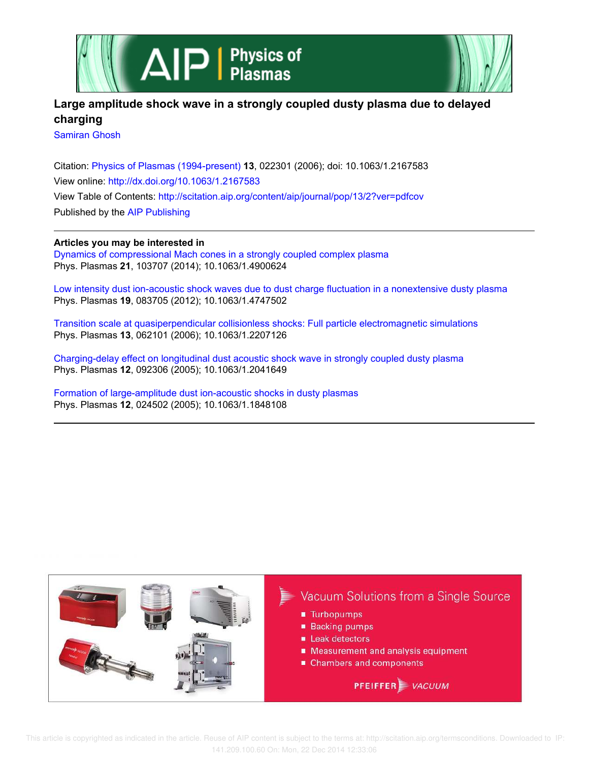



# **Large amplitude shock wave in a strongly coupled dusty plasma due to delayed charging**

Samiran Ghosh

Citation: Physics of Plasmas (1994-present) **13**, 022301 (2006); doi: 10.1063/1.2167583 View online: http://dx.doi.org/10.1063/1.2167583 View Table of Contents: http://scitation.aip.org/content/aip/journal/pop/13/2?ver=pdfcov Published by the AIP Publishing

## **Articles you may be interested in**

Dynamics of compressional Mach cones in a strongly coupled complex plasma Phys. Plasmas **21**, 103707 (2014); 10.1063/1.4900624

Low intensity dust ion-acoustic shock waves due to dust charge fluctuation in a nonextensive dusty plasma Phys. Plasmas **19**, 083705 (2012); 10.1063/1.4747502

Transition scale at quasiperpendicular collisionless shocks: Full particle electromagnetic simulations Phys. Plasmas **13**, 062101 (2006); 10.1063/1.2207126

Charging-delay effect on longitudinal dust acoustic shock wave in strongly coupled dusty plasma Phys. Plasmas **12**, 092306 (2005); 10.1063/1.2041649

Formation of large-amplitude dust ion-acoustic shocks in dusty plasmas Phys. Plasmas **12**, 024502 (2005); 10.1063/1.1848108

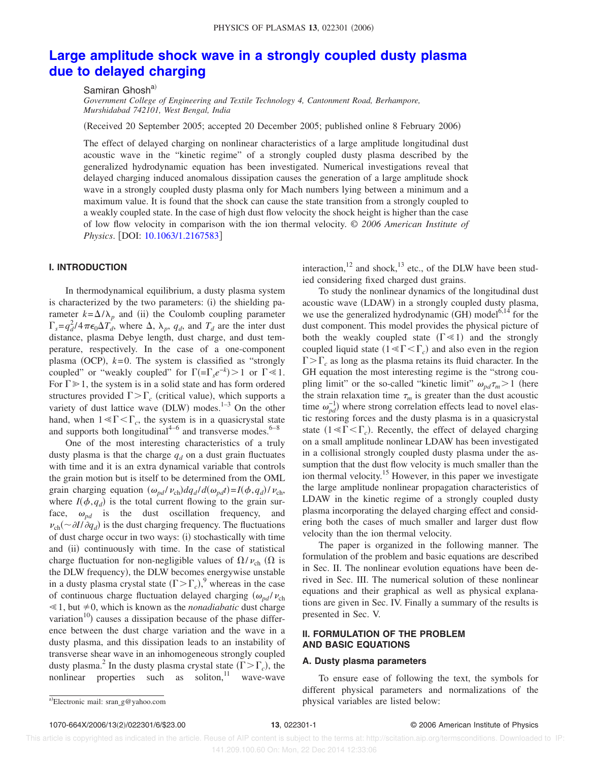## **Large amplitude shock wave in a strongly coupled dusty plasma due to delayed charging**

Samiran Ghosh<sup>a)</sup>

*Government College of Engineering and Textile Technology 4, Cantonment Road, Berhampore, Murshidabad 742101, West Bengal, India*

Received 20 September 2005; accepted 20 December 2005; published online 8 February 2006-

The effect of delayed charging on nonlinear characteristics of a large amplitude longitudinal dust acoustic wave in the "kinetic regime" of a strongly coupled dusty plasma described by the generalized hydrodynamic equation has been investigated. Numerical investigations reveal that delayed charging induced anomalous dissipation causes the generation of a large amplitude shock wave in a strongly coupled dusty plasma only for Mach numbers lying between a minimum and a maximum value. It is found that the shock can cause the state transition from a strongly coupled to a weakly coupled state. In the case of high dust flow velocity the shock height is higher than the case of low flow velocity in comparison with the ion thermal velocity. © *2006 American Institute of Physics.* [DOI: 10.1063/1.2167583]

## **I. INTRODUCTION**

In thermodynamical equilibrium, a dusty plasma system is characterized by the two parameters: (i) the shielding parameter  $k = \Delta/\lambda_p$  and (ii) the Coulomb coupling parameter  $\int_{s}^{s} = q_d^2/4\pi\epsilon_0\Delta T_d^{\dagger}$ , where  $\Delta$ ,  $\lambda_p$ ,  $q_d$ , and  $T_d$  are the inter dust distance, plasma Debye length, dust charge, and dust temperature, respectively. In the case of a one-component plasma (OCP),  $k=0$ . The system is classified as "strongly coupled" or "weakly coupled" for  $\Gamma(-\Gamma_s e^{-k}) > 1$  or  $\Gamma \ll 1$ . For  $\Gamma \gg 1$ , the system is in a solid state and has form ordered structures provided  $\Gamma > \Gamma_c$  (critical value), which supports a variety of dust lattice wave  $(DLW)$  modes.<sup>1-3</sup> On the other hand, when  $1 \ll \Gamma \ll \Gamma_c$ , the system is in a quasicrystal state and supports both longitudinal<sup>4-6</sup> and transverse modes.<sup>6-8</sup>

One of the most interesting characteristics of a truly dusty plasma is that the charge  $q_d$  on a dust grain fluctuates with time and it is an extra dynamical variable that controls the grain motion but is itself to be determined from the OML grain charging equation  $(\omega_{pd}/ \nu_{ch}) dq_d/d(\omega_{pd}t) = I(\phi, q_d)/\nu_{ch}$ , where  $I(\phi, q_d)$  is the total current flowing to the grain surface,  $\omega_{pd}$  is the dust oscillation frequency, and  $\nu_{\rm ch}$  ( $\sim \partial I / \partial q_d$ ) is the dust charging frequency. The fluctuations of dust charge occur in two ways: (i) stochastically with time and (ii) continuously with time. In the case of statistical charge fluctuation for non-negligible values of  $\Omega/\nu_{ch}$  ( $\Omega$  is the DLW frequency), the DLW becomes energywise unstable in a dusty plasma crystal state  $(\Gamma > \Gamma_c)$ ,<sup>9</sup> whereas in the case of continuous charge fluctuation delayed charging  $(\omega_{pd}/\nu_{ch})$  $\leq 1$ , but  $\neq 0$ , which is known as the *nonadiabatic* dust charge variation<sup>10</sup>) causes a dissipation because of the phase difference between the dust charge variation and the wave in a dusty plasma, and this dissipation leads to an instability of transverse shear wave in an inhomogeneous strongly coupled dusty plasma.<sup>2</sup> In the dusty plasma crystal state  $(\Gamma > \Gamma_c)$ , the nonlinear properties such as soliton, $\frac{11}{1}$  wave-wave

interaction,<sup>12</sup> and shock,<sup>13</sup> etc., of the DLW have been studied considering fixed charged dust grains.

To study the nonlinear dynamics of the longitudinal dust acoustic wave (LDAW) in a strongly coupled dusty plasma, we use the generalized hydrodynamic (GH) model $6,14$  for the dust component. This model provides the physical picture of both the weakly coupled state  $(\Gamma \ll 1)$  and the strongly coupled liquid state  $(1 \le \Gamma \le \Gamma_c)$  and also even in the region  $\Gamma > \Gamma_c$  as long as the plasma retains its fluid character. In the GH equation the most interesting regime is the "strong coupling limit" or the so-called "kinetic limit"  $\omega_{pd} \tau_m > 1$  (here the strain relaxation time  $\tau_m$  is greater than the dust acoustic time  $\omega_{pd}^{-1}$ ) where strong correlation effects lead to novel elastic restoring forces and the dusty plasma is in a quasicrystal state  $(1 \leq \Gamma \leq \Gamma_c)$ . Recently, the effect of delayed charging on a small amplitude nonlinear LDAW has been investigated in a collisional strongly coupled dusty plasma under the assumption that the dust flow velocity is much smaller than the ion thermal velocity.<sup>15</sup> However, in this paper we investigate the large amplitude nonlinear propagation characteristics of LDAW in the kinetic regime of a strongly coupled dusty plasma incorporating the delayed charging effect and considering both the cases of much smaller and larger dust flow velocity than the ion thermal velocity.

The paper is organized in the following manner. The formulation of the problem and basic equations are described in Sec. II. The nonlinear evolution equations have been derived in Sec. III. The numerical solution of these nonlinear equations and their graphical as well as physical explanations are given in Sec. IV. Finally a summary of the results is presented in Sec. V.

## **II. FORMULATION OF THE PROBLEM AND BASIC EQUATIONS**

### **A. Dusty plasma parameters**

To ensure ease of following the text, the symbols for different physical parameters and normalizations of the physical variables are listed below:

Electronic mail: sran\_g@yahoo.com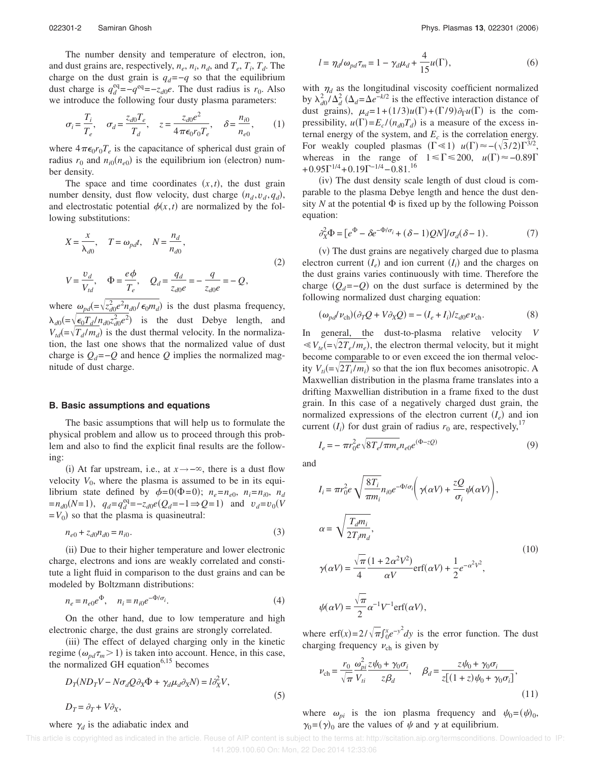The number density and temperature of electron, ion, and dust grains are, respectively,  $n_e$ ,  $n_i$ ,  $n_d$ , and  $T_e$ ,  $T_i$ ,  $T_d$ . The charge on the dust grain is  $q_d = -q$  so that the equilibrium dust charge is  $q_d^{\text{eq}} = -q^{\text{eq}} = -z_{d0}e$ . The dust radius is  $r_0$ . Also we introduce the following four dusty plasma parameters:

$$
\sigma_i = \frac{T_i}{T_e}, \quad \sigma_d = \frac{z_{d0} T_e}{T_d}, \quad z = \frac{z_{d0} e^2}{4 \pi \epsilon_0 r_0 T_e}, \quad \delta = \frac{n_{i0}}{n_{e0}}, \quad (1)
$$

where  $4\pi\epsilon_0 r_0 T_e$  is the capacitance of spherical dust grain of radius  $r_0$  and  $n_{i0}(n_{e0})$  is the equilibrium ion (electron) number density.

The space and time coordinates  $(x, t)$ , the dust grain number density, dust flow velocity, dust charge  $(n_d, v_d, q_d)$ , and electrostatic potential  $\phi(x, t)$  are normalized by the following substitutions:

$$
X = \frac{x}{\lambda_{d0}}, \quad T = \omega_{pd}t, \quad N = \frac{n_d}{n_{d0}},
$$
  
\n
$$
V = \frac{v_d}{V_{td}}, \quad \Phi = \frac{e\phi}{T_e}, \quad Q_d = \frac{q_d}{z_{d0}e} = -\frac{q}{z_{d0}e} = -Q,
$$
\n(2)

where  $\omega_{pd} = \sqrt{z_{d0}^2 e^2 n_{d0} / \epsilon_0 m_d}$  is the dust plasma frequency,  $\lambda_{d0} = \sqrt{\epsilon_0 T_d / n_{d0} z_{d0}^2 e^2}$  is the dust Debye length, and  $V_{td} = \sqrt{\frac{V_{td} - V_{td}}{T_d}}$  is the dust thermal velocity. In the normalization, the last one shows that the normalized value of dust charge is  $Q_d = -Q$  and hence  $Q$  implies the normalized magnitude of dust charge.

#### **B. Basic assumptions and equations**

The basic assumptions that will help us to formulate the physical problem and allow us to proceed through this problem and also to find the explicit final results are the following:

(i) At far upstream, i.e., at *x*→−∞, there is a dust flow velocity  $V_0$ , where the plasma is assumed to be in its equilibrium state defined by  $\phi = 0(\Phi = 0)$ ;  $n_e = n_{e0}$ ,  $n_i = n_{i0}$ ,  $n_d$  $= n_{d0}(N=1), q_d = q_d^{eq} = -z_{d0}e(Q_d = -1 \Rightarrow Q = 1)$  and  $v_d = v_0(V)$  $=V_0$ ) so that the plasma is quasineutral:

$$
n_{e0} + z_{d0}n_{d0} = n_{i0}.\tag{3}
$$

(ii) Due to their higher temperature and lower electronic charge, electrons and ions are weakly correlated and constitute a light fluid in comparison to the dust grains and can be modeled by Boltzmann distributions:

$$
n_e = n_{e0}e^{\Phi}, \quad n_i = n_{i0}e^{-\Phi/\sigma_i}.
$$
 (4)

On the other hand, due to low temperature and high electronic charge, the dust grains are strongly correlated.

(iii) The effect of delayed charging only in the kinetic regime  $(\omega_{pd}\tau_m > 1)$  is taken into account. Hence, in this case, the normalized GH equation $6,15$  becomes

$$
D_T (ND_T V - N \sigma_d Q \partial_X \Phi + \gamma_d \mu_d \partial_X N) = l \partial_X^2 V,
$$
  
\n
$$
D_T = \partial_T + V \partial_X,
$$
\n(5)

where  $\gamma_d$  is the adiabatic index and

$$
l = \eta_d / \omega_{pd} \tau_m = 1 - \gamma_d \mu_d + \frac{4}{15} u(\Gamma), \qquad (6)
$$

with  $\eta_d$  as the longitudinal viscosity coefficient normalized by  $\lambda_{d0}^2 / \Delta_d^2$  ( $\Delta_d = \Delta e^{-k/2}$  is the effective interaction distance of dust grains),  $\mu_d = 1 + (1/3)u(\Gamma) + (\Gamma/9)\partial_\Gamma u(\Gamma)$  is the compressibility,  $u(\Gamma) = E_c / (n_{d0} T_d)$  is a measure of the excess internal energy of the system, and  $E_c$  is the correlation energy. For weakly coupled plasmas  $(\Gamma \le 1)$   $u(\Gamma) \approx -(\sqrt{3}/2)\Gamma^{3/2}$ , whereas in the range of  $1 \leq \Gamma \leq 200$ ,  $u(\Gamma) \approx -0.89\Gamma$  $+0.95\Gamma^{1/4}$  +  $0.19\Gamma^{-1/4}$  –  $0.81$ .<sup>16</sup>

(iv) The dust density scale length of dust cloud is comparable to the plasma Debye length and hence the dust density N at the potential  $\Phi$  is fixed up by the following Poisson equation:

$$
\partial_X^2 \Phi = [e^{\Phi} - \delta e^{-\Phi/\sigma_i} + (\delta - 1)QN] / \sigma_d(\delta - 1). \tag{7}
$$

(v) The dust grains are negatively charged due to plasma electron current  $(I_e)$  and ion current  $(I_i)$  and the charges on the dust grains varies continuously with time. Therefore the charge  $(Q_d = -Q)$  on the dust surface is determined by the following normalized dust charging equation:

$$
(\omega_{pd} \nu_{ch})(\partial_T Q + V \partial_X Q) = -(I_e + I_i) / z_{d0} e \nu_{ch}.
$$
 (8)

In general, the dust-to-plasma relative velocity *V*  $\ll V_{te} = \sqrt{2T_e/m_e}$ , the electron thermal velocity, but it might become comparable to or even exceed the ion thermal velocity  $V_{ti} = \sqrt{2T_i/m_i}$  so that the ion flux becomes anisotropic. A Maxwellian distribution in the plasma frame translates into a drifting Maxwellian distribution in a frame fixed to the dust grain. In this case of a negatively charged dust grain, the normalized expressions of the electron current  $(I_e)$  and ion current  $(I_i)$  for dust grain of radius  $r_0$  are, respectively,<sup>17</sup>

$$
I_e = -\pi r_0^2 e \sqrt{8T_e/\pi m_e} n_{e0} e^{(\Phi - zQ)}
$$
\n(9)

and

$$
I_{i} = \pi r_{0}^{2} e \sqrt{\frac{8T_{i}}{\pi m_{i}}} n_{i0} e^{-\Phi/\sigma_{i}} \left( \gamma(\alpha V) + \frac{zQ}{\sigma_{i}} \psi(\alpha V) \right),
$$
  
\n
$$
\alpha = \sqrt{\frac{T_{d} m_{i}}{2T_{i} m_{d}}},
$$
  
\n
$$
\gamma(\alpha V) = \frac{\sqrt{\pi}}{4} \frac{(1 + 2\alpha^{2} V^{2})}{\alpha V} erf(\alpha V) + \frac{1}{2} e^{-\alpha^{2} V^{2}},
$$
  
\n
$$
\psi(\alpha V) = \frac{\sqrt{\pi}}{2} \alpha^{-1} V^{-1} erf(\alpha V),
$$
\n(10)

where  $\text{erf}(x) = 2/\sqrt{\pi} \int_0^x e^{-y^2} dy$  is the error function. The dust charging frequency  $v_{ch}$  is given by

$$
\nu_{\rm ch} = \frac{r_0}{\sqrt{\pi}} \frac{\omega_{pi}^2 z \psi_0 + \gamma_0 \sigma_i}{V_{ti}} , \quad \beta_d = \frac{z \psi_0 + \gamma_0 \sigma_i}{z[(1+z)\psi_0 + \gamma_0 \sigma_i]},
$$
\n(11)

where  $\omega_{pi}$  is the ion plasma frequency and  $\psi_0 = (\psi)_0$ ,  $\gamma_0 = (\gamma)_0$  are the values of  $\psi$  and  $\gamma$  at equilibrium.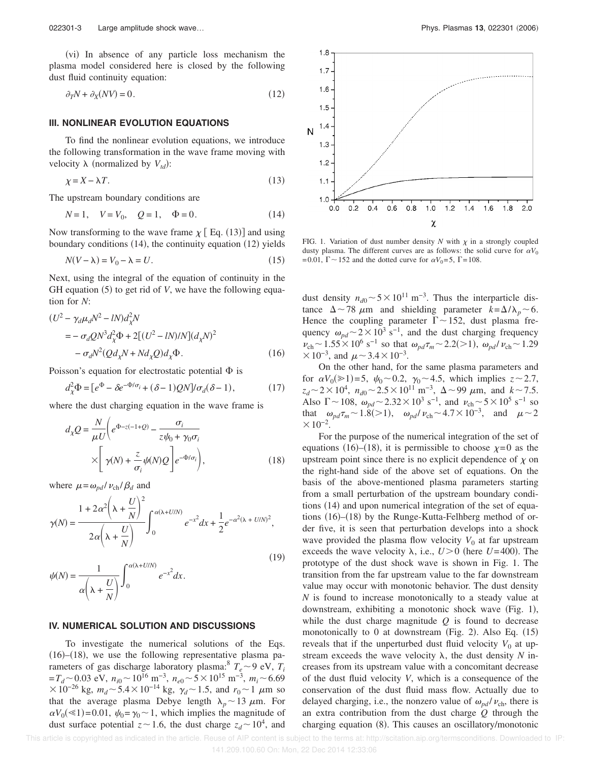(vi) In absence of any particle loss mechanism the plasma model considered here is closed by the following dust fluid continuity equation:

$$
\partial_T N + \partial_X (N V) = 0. \tag{12}
$$

## **III. NONLINEAR EVOLUTION EQUATIONS**

To find the nonlinear evolution equations, we introduce the following transformation in the wave frame moving with velocity  $\lambda$  (normalized by  $V_{td}$ ):

$$
\chi = X - \lambda T. \tag{13}
$$

The upstream boundary conditions are

$$
N = 1, \quad V = V_0, \quad Q = 1, \quad \Phi = 0. \tag{14}
$$

Now transforming to the wave frame  $\chi$  [Eq. (13)] and using boundary conditions (14), the continuity equation (12) yields

$$
N(V - \lambda) = V_0 - \lambda = U.
$$
\n(15)

Next, using the integral of the equation of continuity in the GH equation (5) to get rid of *V*, we have the following equation for *N*:

$$
(U2 - \gamma_d \mu_d N2 - IN)dX2N
$$
  
= -\sigma\_d QN<sup>3</sup>d<sub>X</sub><sup>2</sup>Φ + 2[(U<sup>2</sup> - IN)/N](d<sub>X</sub>N)<sup>2</sup>  
- \sigma\_d N<sup>2</sup>(Qd<sub>X</sub>N + Nd<sub>X</sub>Q)d<sub>X</sub>Φ. (16)

Poisson's equation for electrostatic potential  $\Phi$  is

$$
d_{\chi}^{2} \Phi = [e^{\Phi} - \delta e^{-\Phi/\sigma_{i}} + (\delta - 1)QN] / \sigma_{d}(\delta - 1), \qquad (17)
$$

where the dust charging equation in the wave frame is

$$
d_{\chi}Q = \frac{N}{\mu U} \left( e^{\Phi - z(-1+Q)} - \frac{\sigma_i}{z \psi_0 + \gamma_0 \sigma_i} \times \left[ \gamma(N) + \frac{z}{\sigma_i} \psi(N) Q \right] e^{-\Phi/\sigma_i} \right),
$$
\n(18)

where  $\mu = \omega_{pd} / \nu_{ch} / \beta_d$  and

$$
\gamma(N) = \frac{1 + 2\alpha^2 \left(\lambda + \frac{U}{N}\right)^2}{2\alpha \left(\lambda + \frac{U}{N}\right)} \int_0^{\alpha(\lambda + U/N)} e^{-x^2} dx + \frac{1}{2} e^{-\alpha^2(\lambda + U/N)^2},
$$
\n(19)

$$
\psi(N) = \frac{1}{\alpha \left(\lambda + \frac{U}{N}\right)} \int_0^{\alpha(\lambda + U/N)} e^{-x^2} dx.
$$

### **IV. NUMERICAL SOLUTION AND DISCUSSIONS**

To investigate the numerical solutions of the Eqs.  $(16)$ – $(18)$ , we use the following representative plasma parameters of gas discharge laboratory plasma:<sup>8</sup>  $T_e \sim 9$  eV,  $T_i$  $=T_d \sim 0.03$  eV,  $n_{i0} \sim 10^{16}$  m<sup>-3</sup>,  $n_{e0} \sim 5 \times 10^{15}$  m<sup>-3</sup>,  $m_i \sim 6.69$  $\times 10^{-26}$  kg,  $m_d \sim 5.4 \times 10^{-14}$  kg,  $\gamma_d \sim 1.5$ , and  $r_0 \sim 1$  µm so that the average plasma Debye length  $\lambda_p \sim 13 \mu$ m. For  $\alpha V_0(\leq 1)$ =0.01,  $\psi_0 = \gamma_0 \sim 1$ , which implies the magnitude of dust surface potential  $z \sim 1.6$ , the dust charge  $z_d \sim 10^4$ , and



FIG. 1. Variation of dust number density  $N$  with  $\chi$  in a strongly coupled dusty plasma. The different curves are as follows: the solid curve for  $\alpha V_0$ = 0.01,  $\Gamma$  ~ 152 and the dotted curve for  $\alpha V_0$ = 5,  $\Gamma$  = 108.

dust density  $n_{d0} \sim 5 \times 10^{11} \text{ m}^{-3}$ . Thus the interparticle distance  $\Delta \sim 78 \mu m$  and shielding parameter  $k = \Delta/\lambda_p \sim 6$ . Hence the coupling parameter  $\Gamma \sim 152$ , dust plasma frequency  $\omega_{pd}$  ~ 2 × 10<sup>3</sup> s<sup>-1</sup>, and the dust charging frequency  $v_{\rm ch}$  ~ 1.55 × 10<sup>6</sup> s<sup>-1</sup> so that  $\omega_{pd}\tau_m$  ~ 2.2(>1),  $\omega_{pd}/v_{\rm ch}$  ~ 1.29  $\times 10^{-3}$ , and  $\mu \sim 3.4 \times 10^{-3}$ .

On the other hand, for the same plasma parameters and for  $\alpha V_0(\geq 1) = 5$ ,  $\psi_0 \sim 0.2$ ,  $\gamma_0 \sim 4.5$ , which implies  $z \sim 2.7$ ,  $z_d \sim 2 \times 10^4$ ,  $n_{d0} \sim 2.5 \times 10^{11}$  m<sup>-3</sup>,  $\Delta \sim 99$   $\mu$ m, and  $k \sim 7.5$ . Also  $\Gamma \sim 108$ ,  $\omega_{pd} \sim 2.32 \times 10^3 \text{ s}^{-1}$ , and  $\nu_{ch} \sim 5 \times 10^5 \text{ s}^{-1}$  so that  $\omega_{pd}\tau_m \sim 1.8 (>1)$ ,  $\omega_{pd}/\nu_{ch} \sim 4.7 \times 10^{-3}$ , and  $\mu \sim 2$  $\times 10^{-2}$ .

For the purpose of the numerical integration of the set of equations (16)–(18), it is permissible to choose  $\chi=0$  as the upstream point since there is no explicit dependence of  $\chi$  on the right-hand side of the above set of equations. On the basis of the above-mentioned plasma parameters starting from a small perturbation of the upstream boundary conditions (14) and upon numerical integration of the set of equations (16)–(18) by the Runge-Kutta-Felhberg method of order five, it is seen that perturbation develops into a shock wave provided the plasma flow velocity  $V_0$  at far upstream exceeds the wave velocity  $\lambda$ , i.e.,  $U > 0$  (here  $U = 400$ ). The prototype of the dust shock wave is shown in Fig. 1. The transition from the far upstream value to the far downstream value may occur with monotonic behavior. The dust density *N* is found to increase monotonically to a steady value at downstream, exhibiting a monotonic shock wave (Fig. 1), while the dust charge magnitude *Q* is found to decrease monotonically to  $0$  at downstream (Fig. 2). Also Eq.  $(15)$ reveals that if the unperturbed dust fluid velocity  $V_0$  at upstream exceeds the wave velocity  $\lambda$ , the dust density *N* increases from its upstream value with a concomitant decrease of the dust fluid velocity *V*, which is a consequence of the conservation of the dust fluid mass flow. Actually due to delayed charging, i.e., the nonzero value of  $\omega_{pd}/v_{ch}$ , there is an extra contribution from the dust charge *Q* through the charging equation (8). This causes an oscillatory/monotonic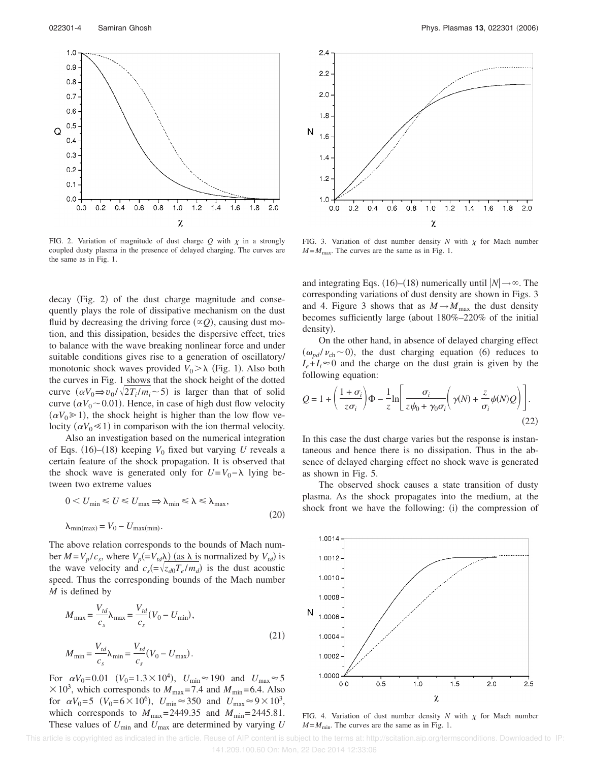

FIG. 2. Variation of magnitude of dust charge  $Q$  with  $\chi$  in a strongly coupled dusty plasma in the presence of delayed charging. The curves are the same as in Fig. 1.

decay (Fig. 2) of the dust charge magnitude and consequently plays the role of dissipative mechanism on the dust fluid by decreasing the driving force  $(\infty Q)$ , causing dust motion, and this dissipation, besides the dispersive effect, tries to balance with the wave breaking nonlinear force and under suitable conditions gives rise to a generation of oscillatory/ monotonic shock waves provided  $V_0 > \lambda$  (Fig. 1). Also both the curves in Fig. 1 shows that the shock height of the dotted curve  $(\alpha V_0 \Rightarrow v_0 / \sqrt{2T_i/m_i} \sim 5)$  is larger than that of solid curve  $(\alpha V_0 \sim 0.01)$ . Hence, in case of high dust flow velocity  $(\alpha V_0 \ge 1)$ , the shock height is higher than the low flow velocity  $(\alpha V_0 \ll 1)$  in comparison with the ion thermal velocity.

Also an investigation based on the numerical integration of Eqs.  $(16)$ – $(18)$  keeping  $V_0$  fixed but varying *U* reveals a certain feature of the shock propagation. It is observed that the shock wave is generated only for  $U = V_0 - \lambda$  lying between two extreme values

$$
0 < U_{\min} \le U \le U_{\max} \Rightarrow \lambda_{\min} \le \lambda \le \lambda_{\max},
$$
\n
$$
\lambda_{\min(\max)} = V_0 - U_{\max(\min)}.
$$
\n
$$
(20)
$$

The above relation corresponds to the bounds of Mach number  $M = V_p / c_s$ , where  $V_p (= V_{td} \lambda)$  (as  $\lambda$  is normalized by  $V_{td}$ ) is the wave velocity and  $c_s = \sqrt{z_{d0}T_e/m_d}$  is the dust acoustic speed. Thus the corresponding bounds of the Mach number *M* is defined by

$$
M_{\text{max}} = \frac{V_{td}}{c_s} \lambda_{\text{max}} = \frac{V_{td}}{c_s} (V_0 - U_{\text{min}}),
$$
  

$$
M_{\text{min}} = \frac{V_{td}}{c_s} \lambda_{\text{min}} = \frac{V_{td}}{c_s} (V_0 - U_{\text{max}}).
$$
 (21)

For  $\alpha V_0 = 0.01$   $(V_0 = 1.3 \times 10^4)$ ,  $U_{\text{min}} \approx 190$  and  $U_{\text{max}} \approx 5$  $\times 10^3$ , which corresponds to  $M_{\text{max}} = 7.4$  and  $M_{\text{min}} = 6.4$ . Also for  $\alpha V_0 = 5$  ( $V_0 = 6 \times 10^6$ ),  $U_{\text{min}} \approx 350$  and  $U_{\text{max}} \approx 9 \times 10^3$ , which corresponds to  $M_{\text{max}} = 2449.35$  and  $M_{\text{min}} = 2445.81$ . These values of  $U_{\text{min}}$  and  $U_{\text{max}}$  are determined by varying  $U$ 



FIG. 3. Variation of dust number density  $N$  with  $\chi$  for Mach number  $M = M_{\text{max}}$ . The curves are the same as in Fig. 1.

and integrating Eqs.  $(16)$ – $(18)$  numerically until  $|N| \rightarrow \infty$ . The corresponding variations of dust density are shown in Figs. 3 and 4. Figure 3 shows that as  $M \rightarrow M_{\text{max}}$  the dust density becomes sufficiently large (about  $180\% - 220\%$  of the initial density).

On the other hand, in absence of delayed charging effect  $(\omega_{pd}/\nu_{ch} \sim 0)$ , the dust charging equation (6) reduces to  $I_e + I_i \approx 0$  and the charge on the dust grain is given by the following equation:

$$
Q = 1 + \left(\frac{1+\sigma_i}{z\sigma_i}\right)\Phi - \frac{1}{z}\ln\left[\frac{\sigma_i}{z\psi_0 + \gamma_0\sigma_i}\left(\gamma(N) + \frac{z}{\sigma_i}\psi(N)Q\right)\right].
$$
\n(22)

In this case the dust charge varies but the response is instantaneous and hence there is no dissipation. Thus in the absence of delayed charging effect no shock wave is generated as shown in Fig. 5.

The observed shock causes a state transition of dusty plasma. As the shock propagates into the medium, at the shock front we have the following: (i) the compression of



FIG. 4. Variation of dust number density  $N$  with  $\chi$  for Mach number  $M = M_{\text{min}}$ . The curves are the same as in Fig. 1.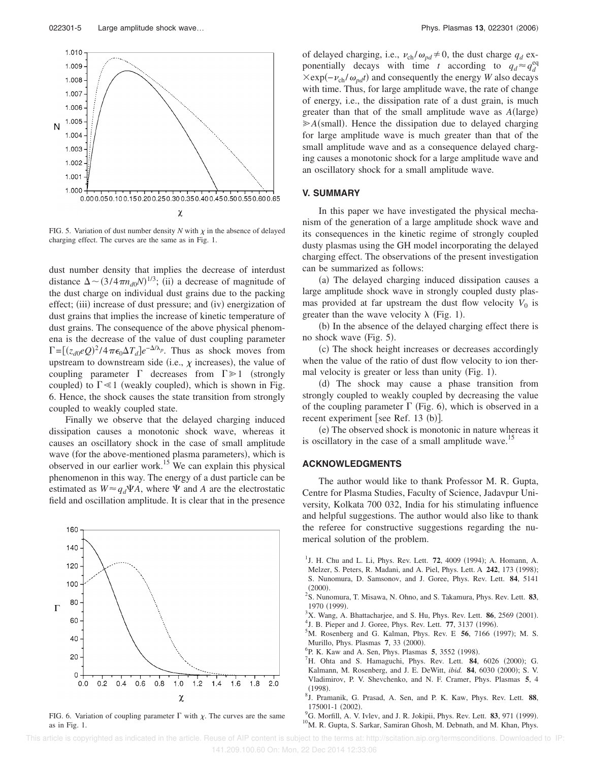

FIG. 5. Variation of dust number density  $N$  with  $\chi$  in the absence of delayed charging effect. The curves are the same as in Fig. 1.

dust number density that implies the decrease of interdust distance  $\Delta \sim (3/4\pi n_{d0}N)^{1/3}$ ; (ii) a decrease of magnitude of the dust charge on individual dust grains due to the packing effect; (iii) increase of dust pressure; and (iv) energization of dust grains that implies the increase of kinetic temperature of dust grains. The consequence of the above physical phenomena is the decrease of the value of dust coupling parameter  $\Gamma = \left[ (z_{d0} eQ)^2 / 4 \pi \epsilon_0 \Delta T_d \right] e^{-\Delta/\lambda_p}$ . Thus as shock moves from upstream to downstream side (i.e.,  $\chi$  increases), the value of coupling parameter  $\Gamma$  decreases from  $\Gamma \geq 1$  (strongly coupled) to  $\Gamma \ll 1$  (weakly coupled), which is shown in Fig. 6. Hence, the shock causes the state transition from strongly coupled to weakly coupled state.

Finally we observe that the delayed charging induced dissipation causes a monotonic shock wave, whereas it causes an oscillatory shock in the case of small amplitude wave (for the above-mentioned plasma parameters), which is observed in our earlier work.<sup>15</sup> We can explain this physical phenomenon in this way. The energy of a dust particle can be estimated as  $W \approx q_d \Psi A$ , where  $\Psi$  and *A* are the electrostatic field and oscillation amplitude. It is clear that in the presence



FIG. 6. Variation of coupling parameter  $\Gamma$  with  $\chi$ . The curves are the same as in Fig. 1.

of delayed charging, i.e.,  $\nu_{ch} / \omega_{pd} \neq 0$ , the dust charge  $q_d$  exponentially decays with time *t* according to  $q_d \approx q_d^{eq}$  $×exp(-v_{ch}/ω_{pd}t)$  and consequently the energy *W* also decays with time. Thus, for large amplitude wave, the rate of change of energy, i.e., the dissipation rate of a dust grain, is much greater than that of the small amplitude wave as  $A(\text{large})$  $\geqslant$  *A*(small). Hence the dissipation due to delayed charging for large amplitude wave is much greater than that of the small amplitude wave and as a consequence delayed charging causes a monotonic shock for a large amplitude wave and an oscillatory shock for a small amplitude wave.

## **V. SUMMARY**

In this paper we have investigated the physical mechanism of the generation of a large amplitude shock wave and its consequences in the kinetic regime of strongly coupled dusty plasmas using the GH model incorporating the delayed charging effect. The observations of the present investigation can be summarized as follows:

(a) The delayed charging induced dissipation causes a large amplitude shock wave in strongly coupled dusty plasmas provided at far upstream the dust flow velocity  $V_0$  is greater than the wave velocity  $\lambda$  (Fig. 1).

(b) In the absence of the delayed charging effect there is no shock wave (Fig. 5).

(c) The shock height increases or decreases accordingly when the value of the ratio of dust flow velocity to ion thermal velocity is greater or less than unity (Fig. 1).

(d) The shock may cause a phase transition from strongly coupled to weakly coupled by decreasing the value of the coupling parameter  $\Gamma$  (Fig. 6), which is observed in a recent experiment [see Ref. 13 (b)].

(e) The observed shock is monotonic in nature whereas it is oscillatory in the case of a small amplitude wave.<sup>15</sup>

## **ACKNOWLEDGMENTS**

The author would like to thank Professor M. R. Gupta, Centre for Plasma Studies, Faculty of Science, Jadavpur University, Kolkata 700 032, India for his stimulating influence and helpful suggestions. The author would also like to thank the referee for constructive suggestions regarding the numerical solution of the problem.

- <sup>1</sup>J. H. Chu and L. Li, Phys. Rev. Lett. **72**, 4009 (1994); A. Homann, A. Melzer, S. Peters, R. Madani, and A. Piel, Phys. Lett. A 242, 173 (1998); S. Nunomura, D. Samsonov, and J. Goree, Phys. Rev. Lett. **84**, 5141  $(2000).$
- 2 S. Nunomura, T. Misawa, N. Ohno, and S. Takamura, Phys. Rev. Lett. **83**, 1970 (1999).
- $3X$ . Wang, A. Bhattacharjee, and S. Hu, Phys. Rev. Lett. **86**, 2569 (2001).
- <sup>4</sup> J. B. Pieper and J. Goree, Phys. Rev. Lett. 77, 3137 (1996).
- ${}^5$ M. Rosenberg and G. Kalman, Phys. Rev. E 56, 7166 (1997); M. S. Murillo, Phys. Plasmas 7, 33 (2000).
- <sup>6</sup>P. K. Kaw and A. Sen, Phys. Plasmas 5, 3552 (1998).
- ${}^{7}$ H. Ohta and S. Hamaguchi, Phys. Rev. Lett. **84**, 6026 (2000); G. Kalmann, M. Rosenberg, and J. E. DeWitt, *ibid.* 84, 6030 (2000); S. V. Vladimirov, P. V. Shevchenko, and N. F. Cramer, Phys. Plasmas **5**, 4  $(1998).$
- 8 J. Pramanik, G. Prasad, A. Sen, and P. K. Kaw, Phys. Rev. Lett. **88**, 175001-1 (2002).
- <sup>9</sup>G. Morfill, A. V. Ivlev, and J. R. Jokipii, Phys. Rev. Lett. 83, 971 (1999). <sup>10</sup>M. R. Gupta, S. Sarkar, Samiran Ghosh, M. Debnath, and M. Khan, Phys.